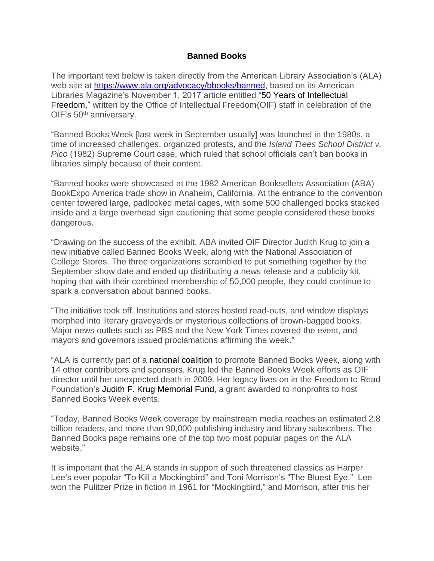## **Banned Books**

The important text below is taken directly from the American Library Association's (ALA) web site at [https://www.ala.org/advocacy/bbooks/banned,](https://www.ala.org/advocacy/bbooks/banned) based on its American Libraries Magazine's November 1, 2017 article entitled "50 Years of [Intellectual](https://americanlibrariesmagazine.org/2017/11/01/50-years-office-intellectual-freedom/) [Freedom,](https://americanlibrariesmagazine.org/2017/11/01/50-years-office-intellectual-freedom/)" written by the Office of Intellectual Freedom(OIF) staff in celebration of the OIF's 50<sup>th</sup> anniversary.

"Banned Books Week [last week in September usually] was launched in the 1980s, a time of increased challenges, organized protests, and the *Island Trees School District v. Pico* (1982) Supreme Court case, which ruled that school officials can't ban books in libraries simply because of their content.

"Banned books were showcased at the 1982 American Booksellers Association (ABA) BookExpo America trade show in Anaheim, California. At the entrance to the convention center towered large, padlocked metal cages, with some 500 challenged books stacked inside and a large overhead sign cautioning that some people considered these books dangerous.

"Drawing on the success of the exhibit, ABA invited OIF Director Judith Krug to join a new initiative called Banned Books Week, along with the National Association of College Stores. The three organizations scrambled to put something together by the September show date and ended up distributing a news release and a publicity kit, hoping that with their combined membership of 50,000 people, they could continue to spark a conversation about banned books.

"The initiative took off. Institutions and stores hosted read-outs, and window displays morphed into literary graveyards or mysterious collections of brown-bagged books. Major news outlets such as PBS and the New York Times covered the event, and mayors and governors issued proclamations affirming the week."

"ALA is currently part of a national [coalition](http://bannedbooksweek.org/) to promote Banned Books Week, along with 14 other contributors and sponsors. Krug led the Banned Books Week efforts as OIF director until her unexpected death in 2009. Her legacy lives on in the Freedom to Read Foundation's Judith F. Krug [Memorial](https://www.ftrf.org/page/krug_bbw?) Fund, a grant awarded to nonprofits to host Banned Books Week events.

"Today, Banned Books Week coverage by mainstream media reaches an estimated 2.8 billion readers, and more than 90,000 publishing industry and library subscribers. The Banned Books page remains one of the top two most popular pages on the ALA website."

It is important that the ALA stands in support of such threatened classics as Harper Lee's ever popular "To Kill a Mockingbird" and Toni Morrison's "The Bluest Eye." Lee won the Pulitzer Prize in fiction in 1961 for "Mockingbird," and Morrison, after this her